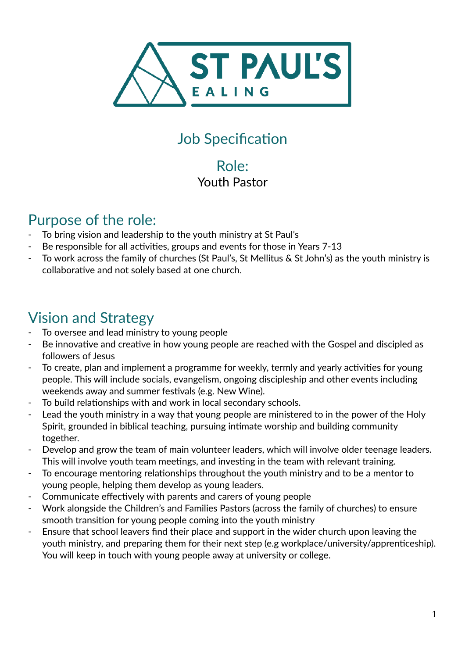

## Job Specification

#### Role: Youth Pastor

#### Purpose of the role:

- To bring vision and leadership to the youth ministry at St Paul's
- Be responsible for all activities, groups and events for those in Years 7-13
- To work across the family of churches (St Paul's, St Mellitus & St John's) as the youth ministry is collaborative and not solely based at one church.

# Vision and Strategy

- To oversee and lead ministry to young people
- Be innovative and creative in how young people are reached with the Gospel and discipled as followers of Jesus
- To create, plan and implement a programme for weekly, termly and yearly activities for young people. This will include socials, evangelism, ongoing discipleship and other events including weekends away and summer festivals (e.g. New Wine).
- To build relationships with and work in local secondary schools.
- Lead the youth ministry in a way that young people are ministered to in the power of the Holy Spirit, grounded in biblical teaching, pursuing intimate worship and building community together.
- Develop and grow the team of main volunteer leaders, which will involve older teenage leaders. This will involve youth team meetings, and investing in the team with relevant training.
- To encourage mentoring relationships throughout the youth ministry and to be a mentor to young people, helping them develop as young leaders.
- Communicate effectively with parents and carers of young people
- Work alongside the Children's and Families Pastors (across the family of churches) to ensure smooth transition for young people coming into the youth ministry
- Ensure that school leavers find their place and support in the wider church upon leaving the youth ministry, and preparing them for their next step (e.g workplace/university/apprenticeship). You will keep in touch with young people away at university or college.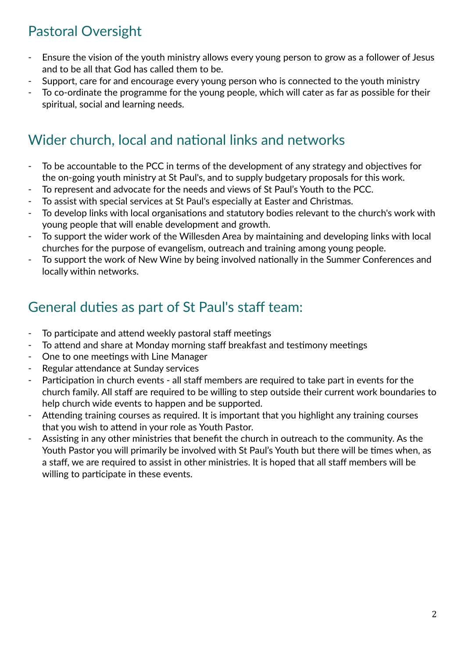## Pastoral Oversight

- Ensure the vision of the youth ministry allows every young person to grow as a follower of Jesus and to be all that God has called them to be.
- Support, care for and encourage every young person who is connected to the youth ministry
- To co-ordinate the programme for the young people, which will cater as far as possible for their spiritual, social and learning needs.

## Wider church, local and national links and networks

- To be accountable to the PCC in terms of the development of any strategy and objectives for the on-going youth ministry at St Paul's, and to supply budgetary proposals for this work.
- To represent and advocate for the needs and views of St Paul's Youth to the PCC.
- To assist with special services at St Paul's especially at Easter and Christmas.
- To develop links with local organisations and statutory bodies relevant to the church's work with young people that will enable development and growth.
- To support the wider work of the Willesden Area by maintaining and developing links with local churches for the purpose of evangelism, outreach and training among young people.
- To support the work of New Wine by being involved nationally in the Summer Conferences and locally within networks.

## General duties as part of St Paul's staff team:

- To participate and attend weekly pastoral staff meetings
- To attend and share at Monday morning staff breakfast and testimony meetings
- One to one meetings with Line Manager
- Regular attendance at Sunday services
- Participation in church events all staff members are required to take part in events for the church family. All staff are required to be willing to step outside their current work boundaries to help church wide events to happen and be supported.
- Attending training courses as required. It is important that you highlight any training courses that you wish to attend in your role as Youth Pastor.
- Assisting in any other ministries that benefit the church in outreach to the community. As the Youth Pastor you will primarily be involved with St Paul's Youth but there will be times when, as a staff, we are required to assist in other ministries. It is hoped that all staff members will be willing to participate in these events.